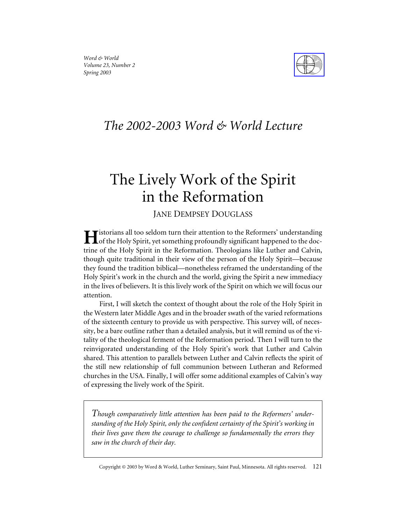

# *The 2002-2003 Word & World Lecture*

# The Lively Work of the Spirit in the Reformation

## JANE DEMPSEY DOUGLASS

 $\blacksquare$ istorians all too seldom turn their attention to the Reformers' understanding of the Holy Spirit, yet something profoundly significant happened to the doctrine of the Holy Spirit in the Reformation. Theologians like Luther and Calvin, though quite traditional in their view of the person of the Holy Spirit—because they found the tradition biblical—nonetheless reframed the understanding of the Holy Spirit's work in the church and the world, giving the Spirit a new immediacy in the lives of believers. It is this lively work of the Spirit on which we will focus our attention.

First, I will sketch the context of thought about the role of the Holy Spirit in the Western later Middle Ages and in the broader swath of the varied reformations of the sixteenth century to provide us with perspective. This survey will, of necessity, be a bare outline rather than a detailed analysis, but it will remind us of the vitality of the theological ferment of the Reformation period. Then I will turn to the reinvigorated understanding of the Holy Spirit's work that Luther and Calvin shared. This attention to parallels between Luther and Calvin reflects the spirit of the still new relationship of full communion between Lutheran and Reformed churches in the USA. Finally, I will offer some additional examples of Calvin's way of expressing the lively work of the Spirit.

*Though comparatively little attention has been paid to the Reformers' understanding of the Holy Spirit, only the confident certainty of the Spirit's working in their lives gave them the courage to challenge so fundamentally the errors they saw in the church of their day.*

Copyright © 2003 by Word & World, Luther Seminary, Saint Paul, Minnesota. All rights reserved. 121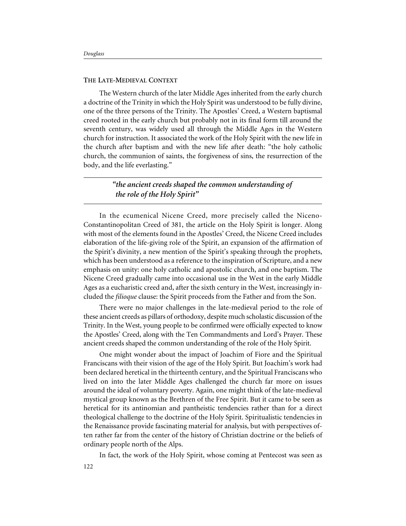#### **THE LATE-MEDIEVAL CONTEXT**

The Western church of the later Middle Ages inherited from the early church a doctrine of the Trinity in which the Holy Spirit was understood to be fully divine, one of the three persons of the Trinity. The Apostles' Creed, a Western baptismal creed rooted in the early church but probably not in its final form till around the seventh century, was widely used all through the Middle Ages in the Western church for instruction. It associated the work of the Holy Spirit with the new life in the church after baptism and with the new life after death: "the holy catholic church, the communion of saints, the forgiveness of sins, the resurrection of the body, and the life everlasting."

> *"the ancient creeds shaped the common understanding of the role of the Holy Spirit"*

In the ecumenical Nicene Creed, more precisely called the Niceno-Constantinopolitan Creed of 381, the article on the Holy Spirit is longer. Along with most of the elements found in the Apostles' Creed, the Nicene Creed includes elaboration of the life-giving role of the Spirit, an expansion of the affirmation of the Spirit's divinity, a new mention of the Spirit's speaking through the prophets, which has been understood as a reference to the inspiration of Scripture, and a new emphasis on unity: one holy catholic and apostolic church, and one baptism. The Nicene Creed gradually came into occasional use in the West in the early Middle Ages as a eucharistic creed and, after the sixth century in the West, increasingly included the *filioque* clause: the Spirit proceeds from the Father and from the Son.

There were no major challenges in the late-medieval period to the role of these ancient creeds as pillars of orthodoxy, despite much scholastic discussion of the Trinity. In the West, young people to be confirmed were officially expected to know the Apostles' Creed, along with the Ten Commandments and Lord's Prayer. These ancient creeds shaped the common understanding of the role of the Holy Spirit.

One might wonder about the impact of Joachim of Fiore and the Spiritual Franciscans with their vision of the age of the Holy Spirit. But Joachim's work had been declared heretical in the thirteenth century, and the Spiritual Franciscans who lived on into the later Middle Ages challenged the church far more on issues around the ideal of voluntary poverty. Again, one might think of the late-medieval mystical group known as the Brethren of the Free Spirit. But it came to be seen as heretical for its antinomian and pantheistic tendencies rather than for a direct theological challenge to the doctrine of the Holy Spirit. Spiritualistic tendencies in the Renaissance provide fascinating material for analysis, but with perspectives often rather far from the center of the history of Christian doctrine or the beliefs of ordinary people north of the Alps.

In fact, the work of the Holy Spirit, whose coming at Pentecost was seen as 122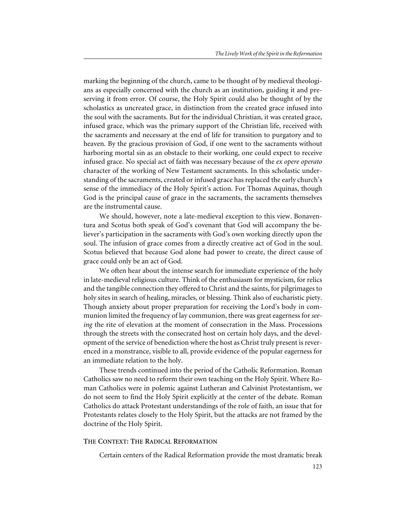marking the beginning of the church, came to be thought of by medieval theologians as especially concerned with the church as an institution, guiding it and preserving it from error. Of course, the Holy Spirit could also be thought of by the scholastics as uncreated grace, in distinction from the created grace infused into the soul with the sacraments. But for the individual Christian, it was created grace, infused grace, which was the primary support of the Christian life, received with the sacraments and necessary at the end of life for transition to purgatory and to heaven. By the gracious provision of God, if one went to the sacraments without harboring mortal sin as an obstacle to their working, one could expect to receive infused grace. No special act of faith was necessary because of the *ex opere operato* character of the working of New Testament sacraments. In this scholastic understanding of the sacraments, created or infused grace has replaced the early church's sense of the immediacy of the Holy Spirit's action. For Thomas Aquinas, though God is the principal cause of grace in the sacraments, the sacraments themselves are the instrumental cause.

We should, however, note a late-medieval exception to this view. Bonaventura and Scotus both speak of God's covenant that God will accompany the believer's participation in the sacraments with God's own working directly upon the soul. The infusion of grace comes from a directly creative act of God in the soul. Scotus believed that because God alone had power to create, the direct cause of grace could only be an act of God.

We often hear about the intense search for immediate experience of the holy in late-medieval religious culture. Think of the enthusiasm for mysticism, for relics and the tangible connection they offered to Christ and the saints, for pilgrimages to holy sites in search of healing, miracles, or blessing. Think also of eucharistic piety. Though anxiety about proper preparation for receiving the Lord's body in communion limited the frequency of lay communion, there was great eagerness for *seeing* the rite of elevation at the moment of consecration in the Mass. Processions through the streets with the consecrated host on certain holy days, and the development of the service of benediction where the host as Christ truly present is reverenced in a monstrance, visible to all, provide evidence of the popular eagerness for an immediate relation to the holy.

These trends continued into the period of the Catholic Reformation. Roman Catholics saw no need to reform their own teaching on the Holy Spirit. Where Roman Catholics were in polemic against Lutheran and Calvinist Protestantism, we do not seem to find the Holy Spirit explicitly at the center of the debate. Roman Catholics do attack Protestant understandings of the role of faith, an issue that for Protestants relates closely to the Holy Spirit, but the attacks are not framed by the doctrine of the Holy Spirit.

#### **THE CONTEXT: THE RADICAL REFORMATION**

Certain centers of the Radical Reformation provide the most dramatic break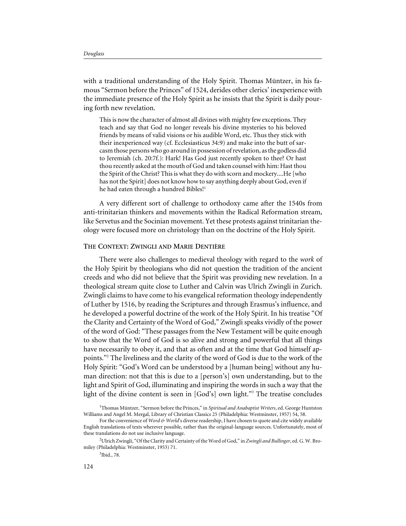with a traditional understanding of the Holy Spirit. Thomas Müntzer, in his famous "Sermon before the Princes" of 1524, derides other clerics' inexperience with the immediate presence of the Holy Spirit as he insists that the Spirit is daily pouring forth new revelation.

This is now the character of almost all divines with mighty few exceptions. They teach and say that God no longer reveals his divine mysteries to his beloved friends by means of valid visions or his audible Word, etc. Thus they stick with their inexperienced way (cf. Ecclesiasticus 34:9) and make into the butt of sarcasm those persons who go around in possession of revelation, as the godless did to Jeremiah (ch. 20:7f.): Hark! Has God just recently spoken to thee? Or hast thou recently asked at the mouth of God and taken counsel with him: Hast thou the Spirit of the Christ? This is what they do with scorn and mockery....He [who has not the Spirit] does not know how to say anything deeply about God, even if he had eaten through a hundred Bibles!<sup>1</sup>

A very different sort of challenge to orthodoxy came after the 1540s from anti-trinitarian thinkers and movements within the Radical Reformation stream, like Servetus and the Socinian movement. Yet these protests against trinitarian theology were focused more on christology than on the doctrine of the Holy Spirit.

#### **THE CONTEXT: ZWINGLI AND MARIE DENTIÈRE**

There were also challenges to medieval theology with regard to the *work* of the Holy Spirit by theologians who did not question the tradition of the ancient creeds and who did not believe that the Spirit was providing new revelation. In a theological stream quite close to Luther and Calvin was Ulrich Zwingli in Zurich. Zwingli claims to have come to his evangelical reformation theology independently of Luther by 1516, by reading the Scriptures and through Erasmus's influence, and he developed a powerful doctrine of the work of the Holy Spirit. In his treatise "Of the Clarity and Certainty of the Word of God," Zwingli speaks vividly of the power of the word of God: "These passages from the New Testament will be quite enough to show that the Word of God is so alive and strong and powerful that all things have necessarily to obey it, and that as often and at the time that God himself appoints."2 The liveliness and the clarity of the word of God is due to the work of the Holy Spirit: "God's Word can be understood by a [human being] without any human direction: not that this is due to a [person's] own understanding, but to the light and Spirit of God, illuminating and inspiring the words in such a way that the light of the divine content is seen in [God's] own light."<sup>3</sup> The treatise concludes

<sup>&</sup>lt;sup>1</sup>Thomas Müntzer, "Sermon before the Princes," in Spiritual and Anabaptist Writers, ed. George Huntston Williams and Angel M. Mergal, Library of Christian Classics 25 (Philadelphia: Westminster, 1957) 54, 58.

For the convenience of *Word & World*'s diverse readership, I have chosen to quote and cite widely available English translations of texts wherever possible, rather than the original-language sources. Unfortunately, most of these translations do not use inclusive language.

<sup>2</sup> Ulrich Zwingli, "Of the Clarity and Certainty of the Word of God," in *Zwingli and Bullinger*, ed. G. W. Bromiley (Philadelphia: Westminster, 1953) 71.

<sup>3</sup> Ibid., 78.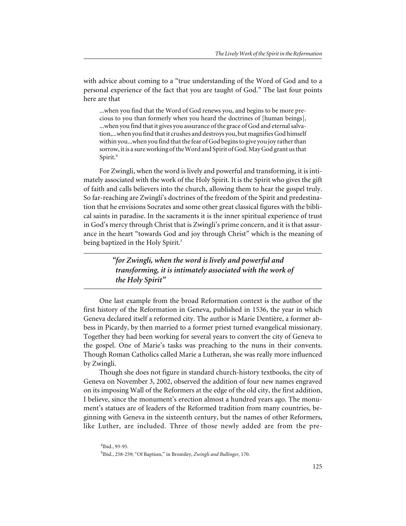with advice about coming to a "true understanding of the Word of God and to a personal experience of the fact that you are taught of God." The last four points here are that

...when you find that the Word of God renews you, and begins to be more precious to you than formerly when you heard the doctrines of [human beings], ...when you find that it gives you assurance of the grace of God and eternal salvation,...when you find that it crushes and destroys you, but magnifies God himself within you...when you find that the fear of God begins to give you joy rather than sorrow, it is a sure working of the Word and Spirit of God. May God grant us that Spirit.4

For Zwingli, when the word is lively and powerful and transforming, it is intimately associated with the work of the Holy Spirit. It is the Spirit who gives the gift of faith and calls believers into the church, allowing them to hear the gospel truly. So far-reaching are Zwingli's doctrines of the freedom of the Spirit and predestination that he envisions Socrates and some other great classical figures with the biblical saints in paradise. In the sacraments it is the inner spiritual experience of trust in God's mercy through Christ that is Zwingli's prime concern, and it is that assurance in the heart "towards God and joy through Christ" which is the meaning of being baptized in the Holy Spirit.<sup>5</sup>

> *"for Zwingli, when the word is lively and powerful and transforming, it is intimately associated with the work of the Holy Spirit"*

One last example from the broad Reformation context is the author of the first history of the Reformation in Geneva, published in 1536, the year in which Geneva declared itself a reformed city. The author is Marie Dentière, a former abbess in Picardy, by then married to a former priest turned evangelical missionary. Together they had been working for several years to convert the city of Geneva to the gospel. One of Marie's tasks was preaching to the nuns in their convents. Though Roman Catholics called Marie a Lutheran, she was really more influenced by Zwingli.

Though she does not figure in standard church-history textbooks, the city of Geneva on November 3, 2002, observed the addition of four new names engraved on its imposing Wall of the Reformers at the edge of the old city, the first addition, I believe, since the monument's erection almost a hundred years ago. The monument's statues are of leaders of the Reformed tradition from many countries, beginning with Geneva in the sixteenth century, but the names of other Reformers, like Luther, are included. Three of those newly added are from the pre-

<sup>4</sup> Ibid., 93-95. 5 Ibid., 258-259; "Of Baptism," in Bromiley, *Zwingli and Bullinger,* 170.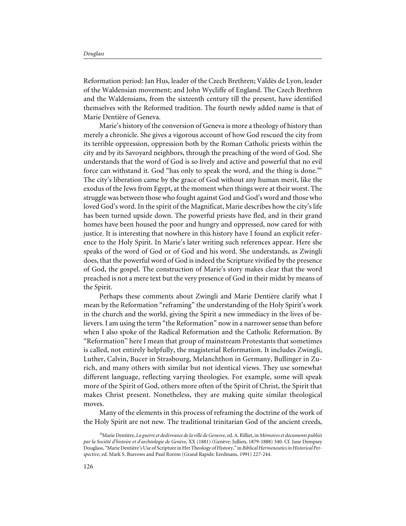Reformation period: Jan Hus, leader of the Czech Brethren; Valdès de Lyon, leader of the Waldensian movement; and John Wycliffe of England. The Czech Brethren and the Waldensians, from the sixteenth century till the present, have identified themselves with the Reformed tradition. The fourth newly added name is that of Marie Dentière of Geneva.

Marie's history of the conversion of Geneva is more a theology of history than merely a chronicle. She gives a vigorous account of how God rescued the city from its terrible oppression, oppression both by the Roman Catholic priests within the city and by its Savoyard neighbors, through the preaching of the word of God. She understands that the word of God is so lively and active and powerful that no evil force can withstand it. God "has only to speak the word, and the thing is done."6 The city's liberation came by the grace of God without any human merit, like the exodus of the Jews from Egypt, at the moment when things were at their worst. The struggle was between those who fought against God and God's word and those who loved God's word. In the spirit of the Magnificat, Marie describes how the city's life has been turned upside down. The powerful priests have fled, and in their grand homes have been housed the poor and hungry and oppressed, now cared for with justice. It is interesting that nowhere in this history have I found an explicit reference to the Holy Spirit. In Marie's later writing such references appear. Here she speaks of the word of God or of God and his word. She understands, as Zwingli does, that the powerful word of God is indeed the Scripture vivified by the presence of God, the gospel. The construction of Marie's story makes clear that the word preached is not a mere text but the very presence of God in their midst by means of the Spirit.

Perhaps these comments about Zwingli and Marie Dentière clarify what I mean by the Reformation "reframing" the understanding of the Holy Spirit's work in the church and the world, giving the Spirit a new immediacy in the lives of believers. I am using the term "the Reformation" now in a narrower sense than before when I also spoke of the Radical Reformation and the Catholic Reformation. By "Reformation" here I mean that group of mainstream Protestants that sometimes is called, not entirely helpfully, the magisterial Reformation. It includes Zwingli, Luther, Calvin, Bucer in Strasbourg, Melanchthon in Germany, Bullinger in Zurich, and many others with similar but not identical views. They use somewhat different language, reflecting varying theologies. For example, some will speak more of the Spirit of God, others more often of the Spirit of Christ, the Spirit that makes Christ present. Nonetheless, they are making quite similar theological moves.

Many of the elements in this process of reframing the doctrine of the work of the Holy Spirit are not new. The traditional trinitarian God of the ancient creeds,

<sup>6</sup> Marie Dentière, *La guerre et deslivrance de la ville de Genesve*, ed. A. Rilliet, in *Mémoires et documents publiés par la Société d'histoire et d'archéologie de Genève*, XX (1881) (Genève: Jullien, 1879-1888) 340. Cf. Jane Dempsey Douglass, "Marie Dentière's Use of Scripture in Her Theology of History," in *Biblical Hermeneutics in Historical Perspective*, ed. Mark S. Burrows and Paul Rorem (Grand Rapids: Eerdmans, 1991) 227-244.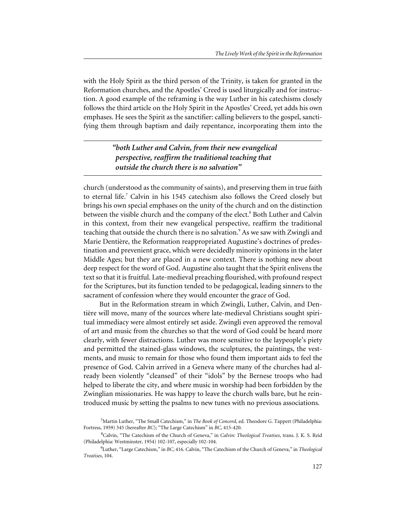with the Holy Spirit as the third person of the Trinity, is taken for granted in the Reformation churches, and the Apostles' Creed is used liturgically and for instruction. A good example of the reframing is the way Luther in his catechisms closely follows the third article on the Holy Spirit in the Apostles' Creed, yet adds his own emphases. He sees the Spirit as the sanctifier: calling believers to the gospel, sanctifying them through baptism and daily repentance, incorporating them into the

> *"both Luther and Calvin, from their new evangelical perspective, reaffirm the traditional teaching that outside the church there is no salvation"*

church (understood as the community of saints), and preserving them in true faith to eternal life.<sup>7</sup> Calvin in his 1545 catechism also follows the Creed closely but brings his own special emphases on the unity of the church and on the distinction between the visible church and the company of the elect.<sup>8</sup> Both Luther and Calvin in this context, from their new evangelical perspective, reaffirm the traditional teaching that outside the church there is no salvation.<sup>9</sup> As we saw with Zwingli and Marie Dentière, the Reformation reappropriated Augustine's doctrines of predestination and prevenient grace, which were decidedly minority opinions in the later Middle Ages; but they are placed in a new context. There is nothing new about deep respect for the word of God. Augustine also taught that the Spirit enlivens the text so that it is fruitful. Late-medieval preaching flourished, with profound respect for the Scriptures, but its function tended to be pedagogical, leading sinners to the sacrament of confession where they would encounter the grace of God.

But in the Reformation stream in which Zwingli, Luther, Calvin, and Dentière will move, many of the sources where late-medieval Christians sought spiritual immediacy were almost entirely set aside. Zwingli even approved the removal of art and music from the churches so that the word of God could be heard more clearly, with fewer distractions. Luther was more sensitive to the laypeople's piety and permitted the stained-glass windows, the sculptures, the paintings, the vestments, and music to remain for those who found them important aids to feel the presence of God. Calvin arrived in a Geneva where many of the churches had already been violently "cleansed" of their "idols" by the Bernese troops who had helped to liberate the city, and where music in worship had been forbidden by the Zwinglian missionaries. He was happy to leave the church walls bare, but he reintroduced music by setting the psalms to new tunes with no previous associations.

<sup>7</sup> Martin Luther, "The Small Catechism," in *The Book of Concord*, ed. Theodore G. Tappert (Philadelphia: Fortress, 1959) 345 (hereafter *BC*); "The Large Catechism" in *BC*, 415-420.

<sup>8</sup> Calvin, "The Catechism of the Church of Geneva," in *Calvin: Theological Treatises*, trans. J. K. S. Reid (Philadelphia: Westminster, 1954) 102-107, especially 102-104.

<sup>9</sup> Luther, "Large Catechism," in *BC*, 416. Calvin, "The Catechism of the Church of Geneva," in *Theological Treatises*, 104.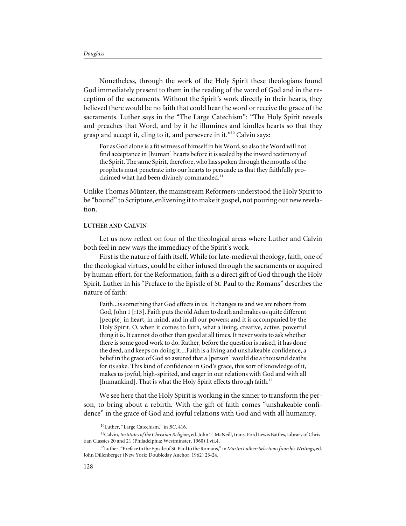Nonetheless, through the work of the Holy Spirit these theologians found God immediately present to them in the reading of the word of God and in the reception of the sacraments. Without the Spirit's work directly in their hearts, they believed there would be no faith that could hear the word or receive the grace of the sacraments. Luther says in the "The Large Catechism": "The Holy Spirit reveals and preaches that Word, and by it he illumines and kindles hearts so that they grasp and accept it, cling to it, and persevere in it."10 Calvin says:

For as God alone is a fit witness of himself in his Word, so also the Word will not find acceptance in [human] hearts before it is sealed by the inward testimony of the Spirit. The same Spirit, therefore, who has spoken through the mouths of the prophets must penetrate into our hearts to persuade us that they faithfully proclaimed what had been divinely commanded.<sup>11</sup>

Unlike Thomas Müntzer, the mainstream Reformers understood the Holy Spirit to be "bound" to Scripture, enlivening it to make it gospel, not pouring out new revelation.

#### **LUTHER AND CALVIN**

Let us now reflect on four of the theological areas where Luther and Calvin both feel in new ways the immediacy of the Spirit's work.

First is the nature of faith itself. While for late-medieval theology, faith, one of the theological virtues, could be either infused through the sacraments or acquired by human effort, for the Reformation, faith is a direct gift of God through the Holy Spirit. Luther in his "Preface to the Epistle of St. Paul to the Romans" describes the nature of faith:

Faith...is something that God effects in us. It changes us and we are reborn from God, John 1 [:13]. Faith puts the old Adam to death and makes us quite different [people] in heart, in mind, and in all our powers; and it is accompanied by the Holy Spirit. O, when it comes to faith, what a living, creative, active, powerful thing it is. It cannot do other than good at all times. It never waits to ask whether there is some good work to do. Rather, before the question is raised, it has done the deed, and keeps on doing it....Faith is a living and unshakeable confidence, a belief in the grace of God so assured that a [person] would die a thousand deaths for its sake. This kind of confidence in God's grace, this sort of knowledge of it, makes us joyful, high-spirited, and eager in our relations with God and with all [humankind]. That is what the Holy Spirit effects through faith.<sup>12</sup>

We see here that the Holy Spirit is working in the sinner to transform the person, to bring about a rebirth. With the gift of faith comes "unshakeable confidence" in the grace of God and joyful relations with God and with all humanity.

<sup>10</sup>Luther, "Large Catechism," in *BC*, 416.

<sup>11</sup>Calvin, *Institutes of the Christian Religion*, ed. John T. McNeill, trans. Ford Lewis Battles, Library of Christian Classics 20 and 21 (Philadelphia: Westminster, 1960) I.vii.4.

<sup>12</sup>Luther, "Preface to the Epistle of St. Paul to the Romans," in*Martin Luther: Selections from his Writings*, ed. John Dillenberger (New York: Doubleday Anchor, 1962) 23-24.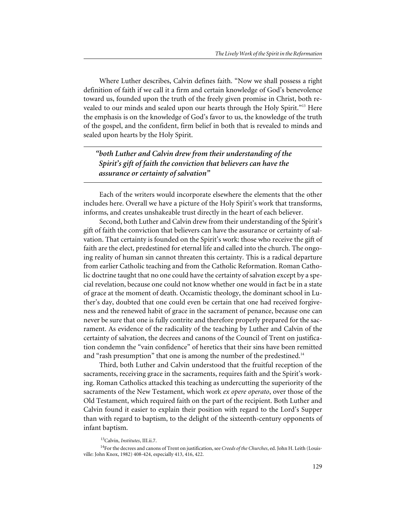Where Luther describes, Calvin defines faith. "Now we shall possess a right definition of faith if we call it a firm and certain knowledge of God's benevolence toward us, founded upon the truth of the freely given promise in Christ, both revealed to our minds and sealed upon our hearts through the Holy Spirit."<sup>13</sup> Here the emphasis is on the knowledge of God's favor to us, the knowledge of the truth of the gospel, and the confident, firm belief in both that is revealed to minds and sealed upon hearts by the Holy Spirit.

*"both Luther and Calvin drew from their understanding of the Spirit's gift of faith the conviction that believers can have the assurance or certainty of salvation"*

Each of the writers would incorporate elsewhere the elements that the other includes here. Overall we have a picture of the Holy Spirit's work that transforms, informs, and creates unshakeable trust directly in the heart of each believer.

Second, both Luther and Calvin drew from their understanding of the Spirit's gift of faith the conviction that believers can have the assurance or certainty of salvation. That certainty is founded on the Spirit's work: those who receive the gift of faith are the elect, predestined for eternal life and called into the church. The ongoing reality of human sin cannot threaten this certainty. This is a radical departure from earlier Catholic teaching and from the Catholic Reformation. Roman Catholic doctrine taught that no one could have the certainty of salvation except by a special revelation, because one could not know whether one would in fact be in a state of grace at the moment of death. Occamistic theology, the dominant school in Luther's day, doubted that one could even be certain that one had received forgiveness and the renewed habit of grace in the sacrament of penance, because one can never be sure that one is fully contrite and therefore properly prepared for the sacrament. As evidence of the radicality of the teaching by Luther and Calvin of the certainty of salvation, the decrees and canons of the Council of Trent on justification condemn the "vain confidence" of heretics that their sins have been remitted and "rash presumption" that one is among the number of the predestined.<sup>14</sup>

Third, both Luther and Calvin understood that the fruitful reception of the sacraments, receiving grace in the sacraments, requires faith and the Spirit's working. Roman Catholics attacked this teaching as undercutting the superiority of the sacraments of the New Testament, which work *ex opere operato*, over those of the Old Testament, which required faith on the part of the recipient. Both Luther and Calvin found it easier to explain their position with regard to the Lord's Supper than with regard to baptism, to the delight of the sixteenth-century opponents of infant baptism.

<sup>13</sup>Calvin, *Institutes*, III.ii.7.

<sup>14</sup>For the decrees and canons of Trent on justification, see *Creeds of the Churches*, ed. John H. Leith (Louisville: John Knox, 1982) 408-424, especially 413, 416, 422.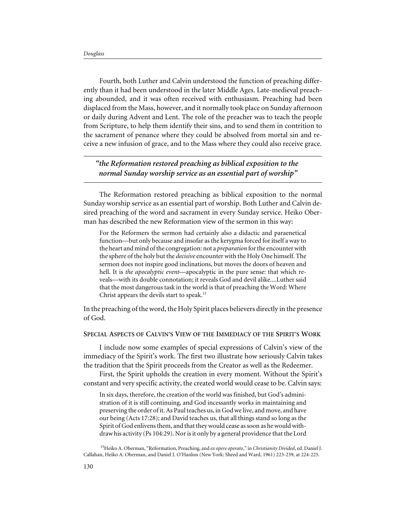Fourth, both Luther and Calvin understood the function of preaching differently than it had been understood in the later Middle Ages. Late-medieval preaching abounded, and it was often received with enthusiasm. Preaching had been displaced from the Mass, however, and it normally took place on Sunday afternoon or daily during Advent and Lent. The role of the preacher was to teach the people from Scripture, to help them identify their sins, and to send them in contrition to the sacrament of penance where they could be absolved from mortal sin and receive a new infusion of grace, and to the Mass where they could also receive grace.

# *"the Reformation restored preaching as biblical exposition to the normal Sunday worship service as an essential part of worship"*

The Reformation restored preaching as biblical exposition to the normal Sunday worship service as an essential part of worship. Both Luther and Calvin desired preaching of the word and sacrament in every Sunday service. Heiko Oberman has described the new Reformation view of the sermon in this way:

For the Reformers the sermon had certainly also a didactic and paraenetical function—but only because and insofar as the kerygma forced for itself a way to the heart and mind of the congregation: not a *preparation* for the encounter with the sphere of the holy but the *decisive* encounter with the Holy One himself. The sermon does not inspire good inclinations, but moves the doors of heaven and hell. It is *the apocalyptic event*—apocalyptic in the pure sense: that which reveals—with its double connotation; it reveals God and devil alike....Luther said that the most dangerous task in the world is that of preaching the Word: Where Christ appears the devils start to speak.<sup>15</sup>

In the preaching of the word, the Holy Spirit places believers directly in the presence of God.

#### **SPECIAL ASPECTS OF CALVIN'S VIEW OF THE IMMEDIACY OF THE SPIRIT'S WORK**

I include now some examples of special expressions of Calvin's view of the immediacy of the Spirit's work. The first two illustrate how seriously Calvin takes the tradition that the Spirit proceeds from the Creator as well as the Redeemer.

First, the Spirit upholds the creation in every moment. Without the Spirit's constant and very specific activity, the created world would cease to be. Calvin says:

In six days, therefore, the creation of the world was finished, but God's administration of it is still continuing, and God incessantly works in maintaining and preserving the order of it. As Paul teaches us, in God we live, and move, and have our being (Acts 17:28); and David teaches us, that all things stand so long as the Spirit of God enlivens them, and that they would cease as soon as he would withdraw his activity (Ps 104:29). Nor is it only by a general providence that the Lord

15Heiko A. Oberman, "Reformation, Preaching, and *ex opere operato*," in *Christianity Divided*, ed. Daniel J. Callahan, Heiko A. Oberman, and Daniel J. O'Hanlon (New York: Sheed and Ward, 1961) 223-239, at 224-225.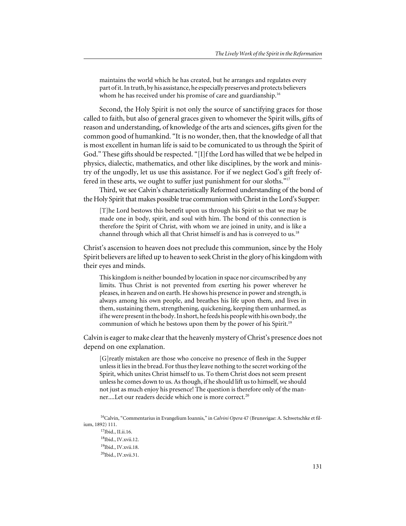maintains the world which he has created, but he arranges and regulates every part of it. In truth, by his assistance, he especially preserves and protects believers whom he has received under his promise of care and guardianship.<sup>16</sup>

Second, the Holy Spirit is not only the source of sanctifying graces for those called to faith, but also of general graces given to whomever the Spirit wills, gifts of reason and understanding, of knowledge of the arts and sciences, gifts given for the common good of humankind. "It is no wonder, then, that the knowledge of all that is most excellent in human life is said to be comunicated to us through the Spirit of God." These gifts should be respected. "[I]f the Lord has willed that we be helped in physics, dialectic, mathematics, and other like disciplines, by the work and ministry of the ungodly, let us use this assistance. For if we neglect God's gift freely offered in these arts, we ought to suffer just punishment for our sloths."<sup>17</sup>

Third, we see Calvin's characteristically Reformed understanding of the bond of the Holy Spirit that makes possible true communion with Christ in the Lord's Supper:

[T]he Lord bestows this benefit upon us through his Spirit so that we may be made one in body, spirit, and soul with him. The bond of this connection is therefore the Spirit of Christ, with whom we are joined in unity, and is like a channel through which all that Christ himself is and has is conveyed to us.<sup>18</sup>

Christ's ascension to heaven does not preclude this communion, since by the Holy Spirit believers are lifted up to heaven to seek Christ in the glory of his kingdom with their eyes and minds.

This kingdom is neither bounded by location in space nor circumscribed by any limits. Thus Christ is not prevented from exerting his power wherever he pleases, in heaven and on earth. He shows his presence in power and strength, is always among his own people, and breathes his life upon them, and lives in them, sustaining them, strengthening, quickening, keeping them unharmed, as if he were present in the body. In short, he feeds his people with his own body, the communion of which he bestows upon them by the power of his Spirit.19

Calvin is eager to make clear that the heavenly mystery of Christ's presence does not depend on one explanation.

[G]reatly mistaken are those who conceive no presence of flesh in the Supper unless it lies in the bread. For thus they leave nothing to the secret working of the Spirit, which unites Christ himself to us. To them Christ does not seem present unless he comes down to us. As though, if he should lift us to himself, we should not just as much enjoy his presence! The question is therefore only of the manner....Let our readers decide which one is more correct.20

<sup>16</sup>Calvin, "Commentarius in Evangelium Ioannis," in *Calvini Opera* 47 (Brunsvigae: A. Schwetschke et filium, 1892) 111.

17Ibid., II.ii.16. 18Ibid., IV.xvii.12. 19Ibid., IV.xvii.18. 20Ibid., IV.xvii.31.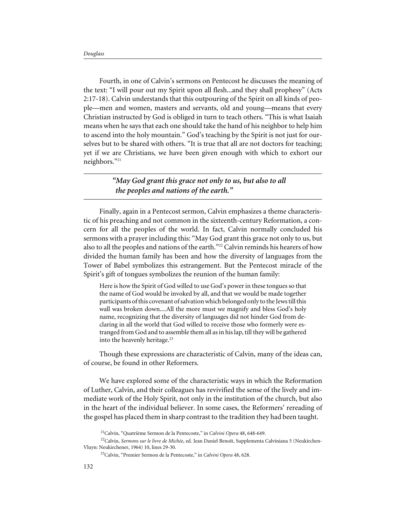Fourth, in one of Calvin's sermons on Pentecost he discusses the meaning of the text: "I will pour out my Spirit upon all flesh...and they shall prophesy" (Acts 2:17-18). Calvin understands that this outpouring of the Spirit on all kinds of people—men and women, masters and servants, old and young—means that every Christian instructed by God is obliged in turn to teach others. "This is what Isaiah means when he says that each one should take the hand of his neighbor to help him to ascend into the holy mountain." God's teaching by the Spirit is not just for ourselves but to be shared with others. "It is true that all are not doctors for teaching; yet if we are Christians, we have been given enough with which to exhort our neighbors."21

### *"May God grant this grace not only to us, but also to all the peoples and nations of the earth."*

Finally, again in a Pentecost sermon, Calvin emphasizes a theme characteristic of his preaching and not common in the sixteenth-century Reformation, a concern for all the peoples of the world. In fact, Calvin normally concluded his sermons with a prayer including this: "May God grant this grace not only to us, but also to all the peoples and nations of the earth."<sup>22</sup> Calvin reminds his hearers of how divided the human family has been and how the diversity of languages from the Tower of Babel symbolizes this estrangement. But the Pentecost miracle of the Spirit's gift of tongues symbolizes the reunion of the human family:

Here is how the Spirit of God willed to use God's power in these tongues so that the name of God would be invoked by all, and that we would be made together participants of this covenant of salvation which belonged only to the Jews till this wall was broken down....All the more must we magnify and bless God's holy name, recognizing that the diversity of languages did not hinder God from declaring in all the world that God willed to receive those who formerly were estranged from God and to assemble them all as in his lap, till they will be gathered into the heavenly heritage.<sup>23</sup>

Though these expressions are characteristic of Calvin, many of the ideas can, of course, be found in other Reformers.

We have explored some of the characteristic ways in which the Reformation of Luther, Calvin, and their colleagues has revivified the sense of the lively and immediate work of the Holy Spirit, not only in the institution of the church, but also in the heart of the individual believer. In some cases, the Reformers' rereading of the gospel has placed them in sharp contrast to the tradition they had been taught.

<sup>21</sup>Calvin, "Quatrième Sermon de la Pentecoste," in *Calvini Opera* 48, 648-649.

<sup>&</sup>lt;sup>22</sup>Calvin, Sermons sur le livre de Michée, ed. Jean Daniel Benoît, Supplementa Calviniana 5 (Neukirchen-Vluyn: Neukirchener, 1964) 10, lines 29-30.

<sup>23</sup>Calvin, "Premier Sermon de la Pentecoste," in *Calvini Opera* 48, 628.